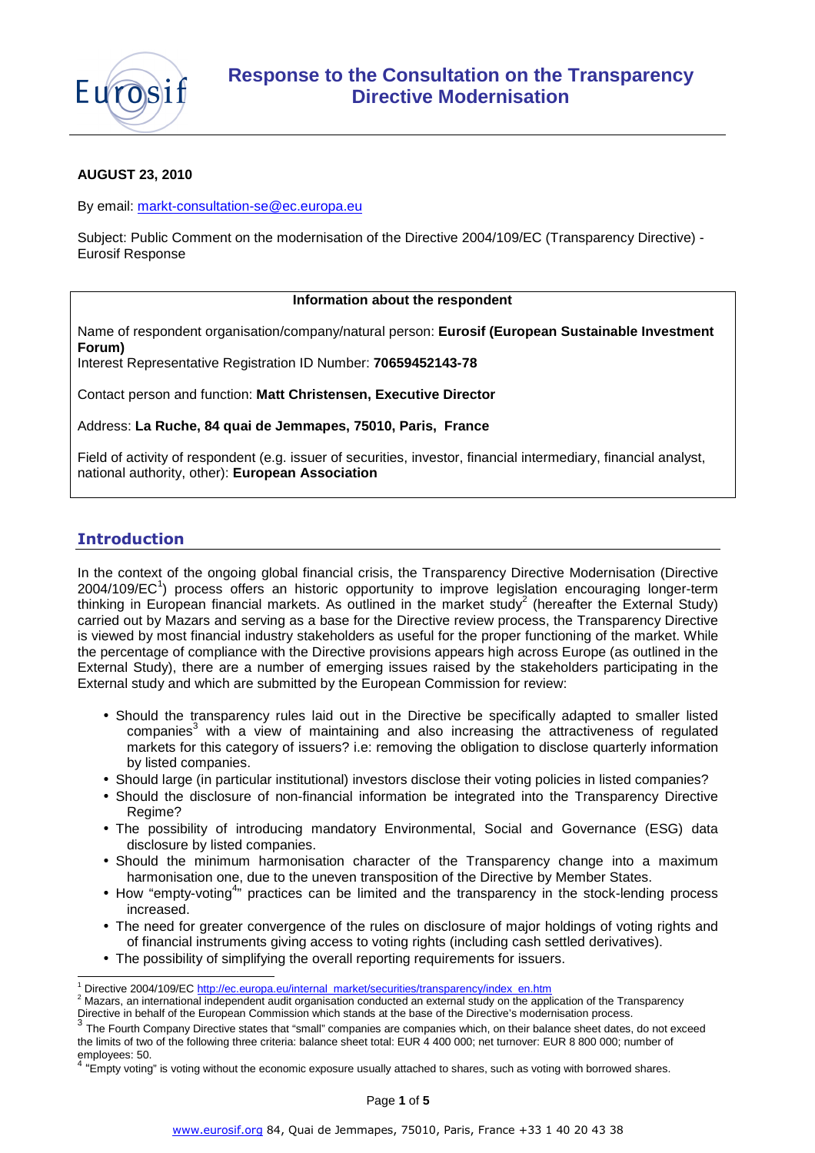

## **AUGUST 23, 2010**

By email: markt-consultation-se@ec.europa.eu

Subject: Public Comment on the modernisation of the Directive 2004/109/EC (Transparency Directive) - Eurosif Response

### **Information about the respondent**

Name of respondent organisation/company/natural person: **Eurosif (European Sustainable Investment Forum)** 

Interest Representative Registration ID Number: **70659452143-78** 

Contact person and function: **Matt Christensen, Executive Director** 

Address: **La Ruche, 84 quai de Jemmapes, 75010, Paris, France**

Field of activity of respondent (e.g. issuer of securities, investor, financial intermediary, financial analyst, national authority, other): **European Association**

# **Introduction**

l

In the context of the ongoing global financial crisis, the Transparency Directive Modernisation (Directive 2004/109/EC<sup>1</sup>) process offers an historic opportunity to improve legislation encouraging longer-term thinking in European financial markets. As outlined in the market study<sup>2</sup> (hereafter the External Study) carried out by Mazars and serving as a base for the Directive review process, the Transparency Directive is viewed by most financial industry stakeholders as useful for the proper functioning of the market. While the percentage of compliance with the Directive provisions appears high across Europe (as outlined in the External Study), there are a number of emerging issues raised by the stakeholders participating in the External study and which are submitted by the European Commission for review:

- Should the transparency rules laid out in the Directive be specifically adapted to smaller listed companies<sup>3</sup> with a view of maintaining and also increasing the attractiveness of regulated markets for this category of issuers? i.e: removing the obligation to disclose quarterly information by listed companies.
- Should large (in particular institutional) investors disclose their voting policies in listed companies?
- Should the disclosure of non-financial information be integrated into the Transparency Directive Regime?
- The possibility of introducing mandatory Environmental, Social and Governance (ESG) data disclosure by listed companies.
- Should the minimum harmonisation character of the Transparency change into a maximum harmonisation one, due to the uneven transposition of the Directive by Member States.
- How "empty-voting<sup>4</sup>" practices can be limited and the transparency in the stock-lending process increased.
- The need for greater convergence of the rules on disclosure of major holdings of voting rights and of financial instruments giving access to voting rights (including cash settled derivatives).
- The possibility of simplifying the overall reporting requirements for issuers.

<sup>1</sup> Directive 2004/109/EC http://ec.europa.eu/internal\_market/securities/transparency/index\_en.htm

 $^2$  Mazars, an international independent audit organisation conducted an external study on the application of the Transparency Directive in behalf of the European Commission which stands at the base of the Directive's modernisation process.

<sup>3</sup> The Fourth Company Directive states that "small" companies are companies which, on their balance sheet dates, do not exceed the limits of two of the following three criteria: balance sheet total: EUR 4 400 000; net turnover: EUR 8 800 000; number of employees: 50.

<sup>&</sup>lt;sup>4</sup> "Empty voting" is voting without the economic exposure usually attached to shares, such as voting with borrowed shares.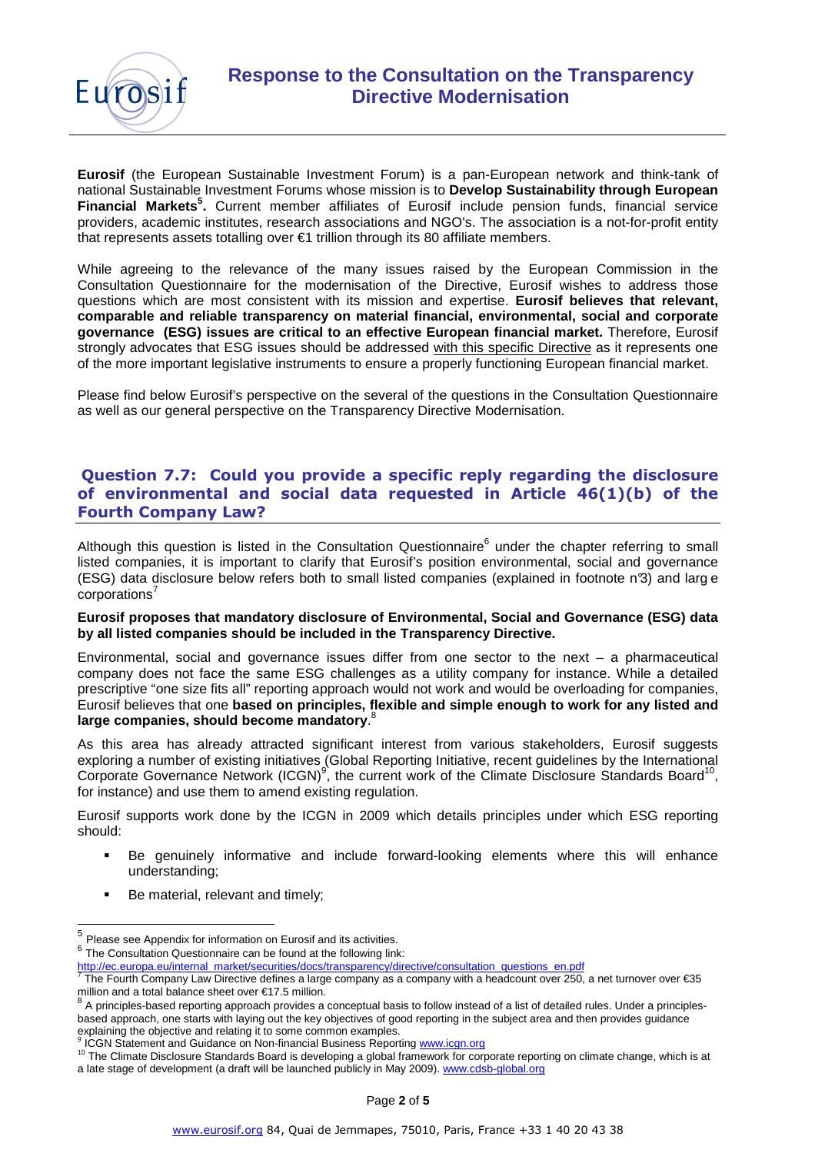

**Eurosif** (the European Sustainable Investment Forum) is a pan-European network and think-tank of national Sustainable Investment Forums whose mission is to **Develop Sustainability through European Financial Markets<sup>5</sup> .** Current member affiliates of Eurosif include pension funds, financial service providers, academic institutes, research associations and NGO's. The association is a not-for-profit entity that represents assets totalling over €1 trillion through its 80 affiliate members.

While agreeing to the relevance of the many issues raised by the European Commission in the Consultation Questionnaire for the modernisation of the Directive, Eurosif wishes to address those questions which are most consistent with its mission and expertise. **Eurosif believes that relevant, comparable and reliable transparency on material financial, environmental, social and corporate governance (ESG) issues are critical to an effective European financial market.** Therefore, Eurosif strongly advocates that ESG issues should be addressed with this specific Directive as it represents one of the more important legislative instruments to ensure a properly functioning European financial market.

Please find below Eurosif's perspective on the several of the questions in the Consultation Questionnaire as well as our general perspective on the Transparency Directive Modernisation.

# **Question 7.7: Could you provide a specific reply regarding the disclosure of environmental and social data requested in Article 46(1)(b) of the Fourth Company Law?**

Although this question is listed in the Consultation Questionnaire<sup>6</sup> under the chapter referring to small listed companies, it is important to clarify that Eurosif's position environmental, social and governance (ESG) data disclosure below refers both to small listed companies (explained in footnote n°3) and larg e corporations<sup>7</sup>

### **Eurosif proposes that mandatory disclosure of Environmental, Social and Governance (ESG) data by all listed companies should be included in the Transparency Directive.**

Environmental, social and governance issues differ from one sector to the next – a pharmaceutical company does not face the same ESG challenges as a utility company for instance. While a detailed prescriptive "one size fits all" reporting approach would not work and would be overloading for companies, Eurosif believes that one **based on principles, flexible and simple enough to work for any listed and large companies, should become mandatory**. 8

As this area has already attracted significant interest from various stakeholders, Eurosif suggests exploring a number of existing initiatives (Global Reporting Initiative, recent guidelines by the International Corporate Governance Network (ICGN)<sup>9</sup>, the current work of the Climate Disclosure Standards Board<sup>10</sup>, for instance) and use them to amend existing regulation.

Eurosif supports work done by the ICGN in 2009 which details principles under which ESG reporting should:

- Be genuinely informative and include forward-looking elements where this will enhance understanding;
- Be material, relevant and timely;

 5 Please see Appendix for information on Eurosif and its activities.

 $6$  The Consultation Questionnaire can be found at the following link:

http://ec.europa.eu/internal\_market/securities/docs/transparency/directive/consultation\_questions\_en.pdf<br><sup>7</sup> The Fourth Company Law Directive defines a large company as a sempeny with a beedeeupt over 250.

The Fourth Company Law Directive defines a large company as a company with a headcount over 250, a net turnover over €35 million and a total balance sheet over €17.5 million.<br><sup>8</sup>. A principles besed repetitive engagesh prevides a

A principles-based reporting approach provides a conceptual basis to follow instead of a list of detailed rules. Under a principlesbased approach, one starts with laying out the key objectives of good reporting in the subject area and then provides guidance explaining the objective and relating it to some common examples.<br><sup>9</sup> ICCN Statement and Cuidance on Nap financial Business Benetit

ICGN Statement and Guidance on Non-financial Business Reporting www.icgn.org

<sup>&</sup>lt;sup>10</sup> The Climate Disclosure Standards Board is developing a global framework for corporate reporting on climate change, which is at a late stage of development (a draft will be launched publicly in May 2009). www.cdsb-global.org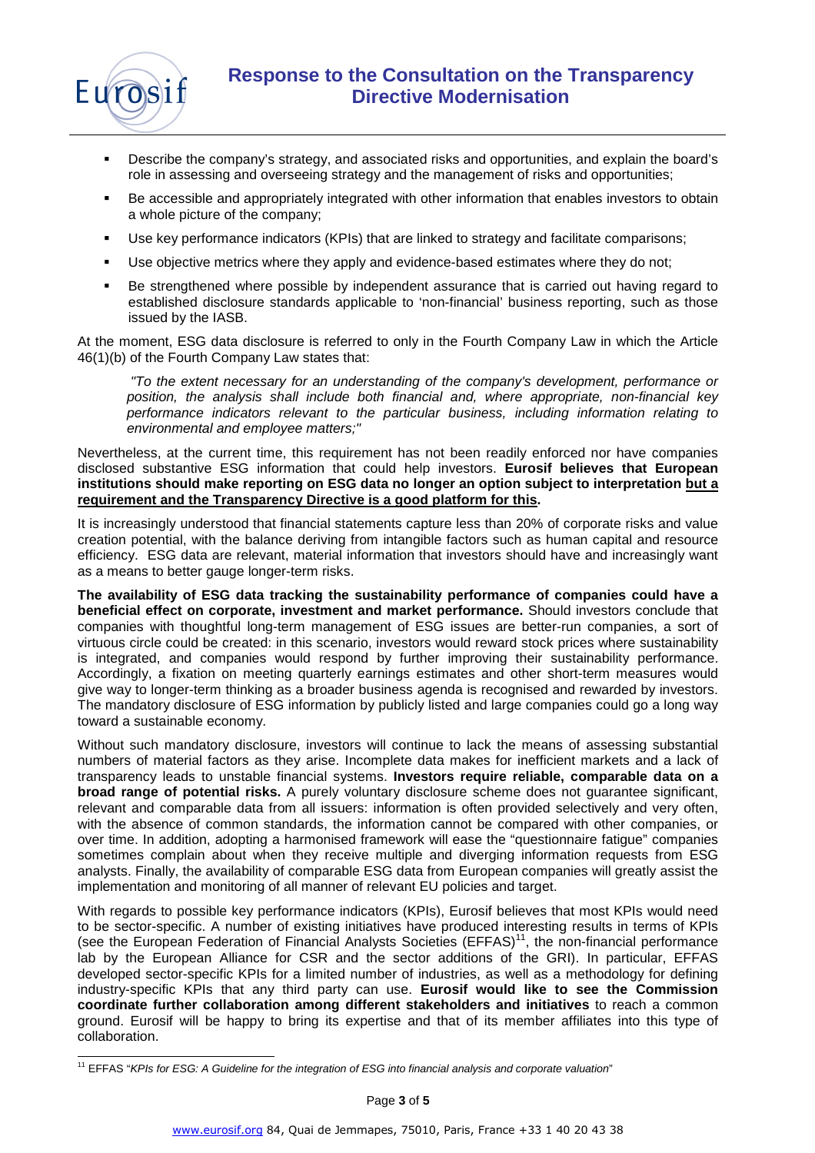

- Describe the company's strategy, and associated risks and opportunities, and explain the board's role in assessing and overseeing strategy and the management of risks and opportunities;
- Be accessible and appropriately integrated with other information that enables investors to obtain a whole picture of the company;
- Use key performance indicators (KPIs) that are linked to strategy and facilitate comparisons;
- Use objective metrics where they apply and evidence-based estimates where they do not;
- Be strengthened where possible by independent assurance that is carried out having regard to established disclosure standards applicable to 'non-financial' business reporting, such as those issued by the IASB.

At the moment, ESG data disclosure is referred to only in the Fourth Company Law in which the Article 46(1)(b) of the Fourth Company Law states that:

"To the extent necessary for an understanding of the company's development, performance or position, the analysis shall include both financial and, where appropriate, non-financial key performance indicators relevant to the particular business, including information relating to environmental and employee matters;"

Nevertheless, at the current time, this requirement has not been readily enforced nor have companies disclosed substantive ESG information that could help investors. **Eurosif believes that European institutions should make reporting on ESG data no longer an option subject to interpretation but a requirement and the Transparency Directive is a good platform for this.** 

It is increasingly understood that financial statements capture less than 20% of corporate risks and value creation potential, with the balance deriving from intangible factors such as human capital and resource efficiency. ESG data are relevant, material information that investors should have and increasingly want as a means to better gauge longer-term risks.

**The availability of ESG data tracking the sustainability performance of companies could have a beneficial effect on corporate, investment and market performance.** Should investors conclude that companies with thoughtful long-term management of ESG issues are better-run companies, a sort of virtuous circle could be created: in this scenario, investors would reward stock prices where sustainability is integrated, and companies would respond by further improving their sustainability performance. Accordingly, a fixation on meeting quarterly earnings estimates and other short-term measures would give way to longer-term thinking as a broader business agenda is recognised and rewarded by investors. The mandatory disclosure of ESG information by publicly listed and large companies could go a long way toward a sustainable economy.

Without such mandatory disclosure, investors will continue to lack the means of assessing substantial numbers of material factors as they arise. Incomplete data makes for inefficient markets and a lack of transparency leads to unstable financial systems. **Investors require reliable, comparable data on a broad range of potential risks.** A purely voluntary disclosure scheme does not guarantee significant, relevant and comparable data from all issuers: information is often provided selectively and very often, with the absence of common standards, the information cannot be compared with other companies, or over time. In addition, adopting a harmonised framework will ease the "questionnaire fatigue" companies sometimes complain about when they receive multiple and diverging information requests from ESG analysts. Finally, the availability of comparable ESG data from European companies will greatly assist the implementation and monitoring of all manner of relevant EU policies and target.

With regards to possible key performance indicators (KPIs), Eurosif believes that most KPIs would need to be sector-specific. A number of existing initiatives have produced interesting results in terms of KPIs (see the European Federation of Financial Analysts Societies  $(EFFAS)^{11}$ , the non-financial performance lab by the European Alliance for CSR and the sector additions of the GRI). In particular, EFFAS developed sector-specific KPIs for a limited number of industries, as well as a methodology for defining industry-specific KPIs that any third party can use. **Eurosif would like to see the Commission coordinate further collaboration among different stakeholders and initiatives** to reach a common ground. Eurosif will be happy to bring its expertise and that of its member affiliates into this type of collaboration.

l <sup>11</sup> EFFAS "KPIs for ESG: A Guideline for the integration of ESG into financial analysis and corporate valuation"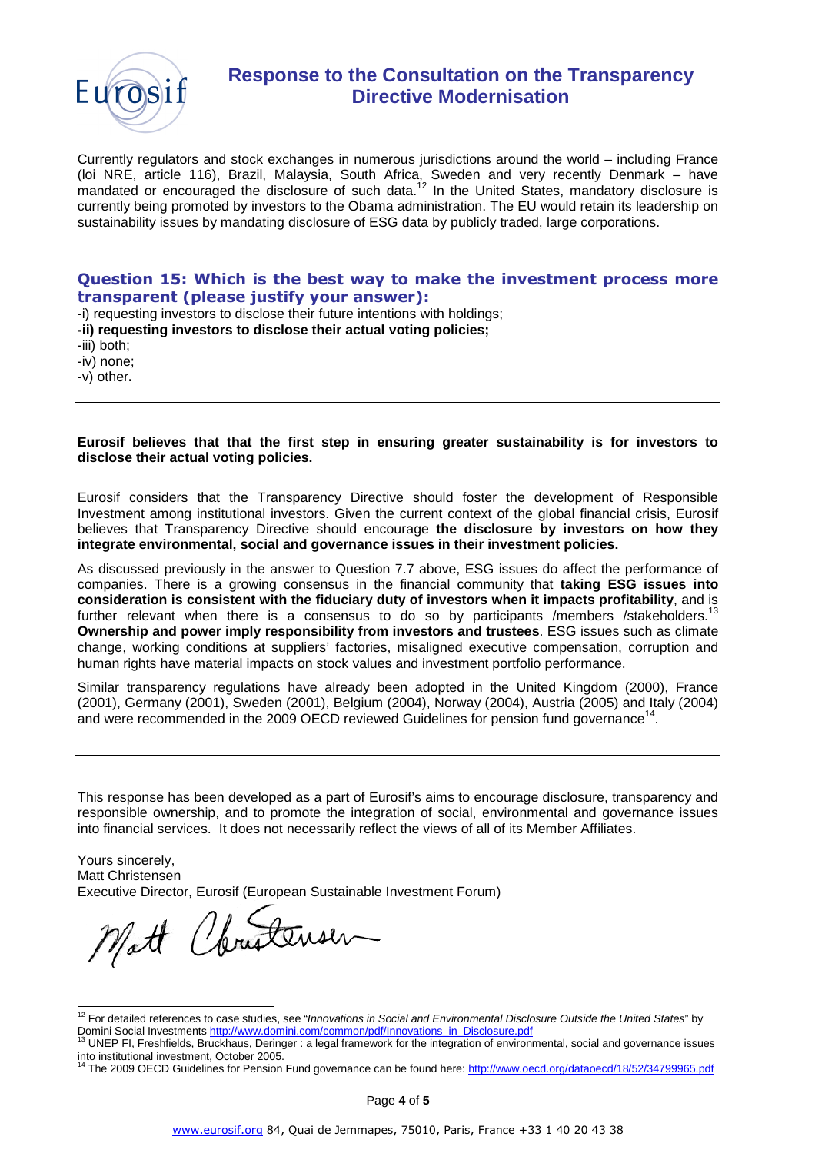

Currently regulators and stock exchanges in numerous jurisdictions around the world – including France (loi NRE, article 116), Brazil, Malaysia, South Africa, Sweden and very recently Denmark – have mandated or encouraged the disclosure of such data.<sup>12</sup> In the United States, mandatory disclosure is currently being promoted by investors to the Obama administration. The EU would retain its leadership on sustainability issues by mandating disclosure of ESG data by publicly traded, large corporations.

## **Question 15: Which is the best way to make the investment process more transparent (please justify your answer):**

-i) requesting investors to disclose their future intentions with holdings;

**-ii) requesting investors to disclose their actual voting policies;** 

-iii) both;

-iv) none;

-v) other**.** 

**Eurosif believes that that the first step in ensuring greater sustainability is for investors to disclose their actual voting policies.** 

Eurosif considers that the Transparency Directive should foster the development of Responsible Investment among institutional investors. Given the current context of the global financial crisis, Eurosif believes that Transparency Directive should encourage **the disclosure by investors on how they integrate environmental, social and governance issues in their investment policies.** 

As discussed previously in the answer to Question 7.7 above, ESG issues do affect the performance of companies. There is a growing consensus in the financial community that **taking ESG issues into consideration is consistent with the fiduciary duty of investors when it impacts profitability**, and is further relevant when there is a consensus to do so by participants /members /stakeholders.<sup>1</sup> **Ownership and power imply responsibility from investors and trustees**. ESG issues such as climate change, working conditions at suppliers' factories, misaligned executive compensation, corruption and human rights have material impacts on stock values and investment portfolio performance.

Similar transparency regulations have already been adopted in the United Kingdom (2000), France (2001), Germany (2001), Sweden (2001), Belgium (2004), Norway (2004), Austria (2005) and Italy (2004) and were recommended in the 2009 OECD reviewed Guidelines for pension fund governance<sup>14</sup>.

This response has been developed as a part of Eurosif's aims to encourage disclosure, transparency and responsible ownership, and to promote the integration of social, environmental and governance issues into financial services. It does not necessarily reflect the views of all of its Member Affiliates.

Yours sincerely, Matt Christensen Executive Director, Eurosif (European Sustainable Investment Forum)

Matt Christensen

l  $12$  For detailed references to case studies, see "Innovations in Social and Environmental Disclosure Outside the United States" by Domini Social Investments http://www.domini.com/common/pdf/Innovations\_in\_Disclosure.pdf

<sup>13</sup> UNEP FI, Freshfields, Bruckhaus, Deringer : a legal framework for the integration of environmental, social and governance issues into institutional investment, October 2005.

<sup>14</sup> The 2009 OECD Guidelines for Pension Fund governance can be found here: http://www.oecd.org/dataoecd/18/52/34799965.pdf